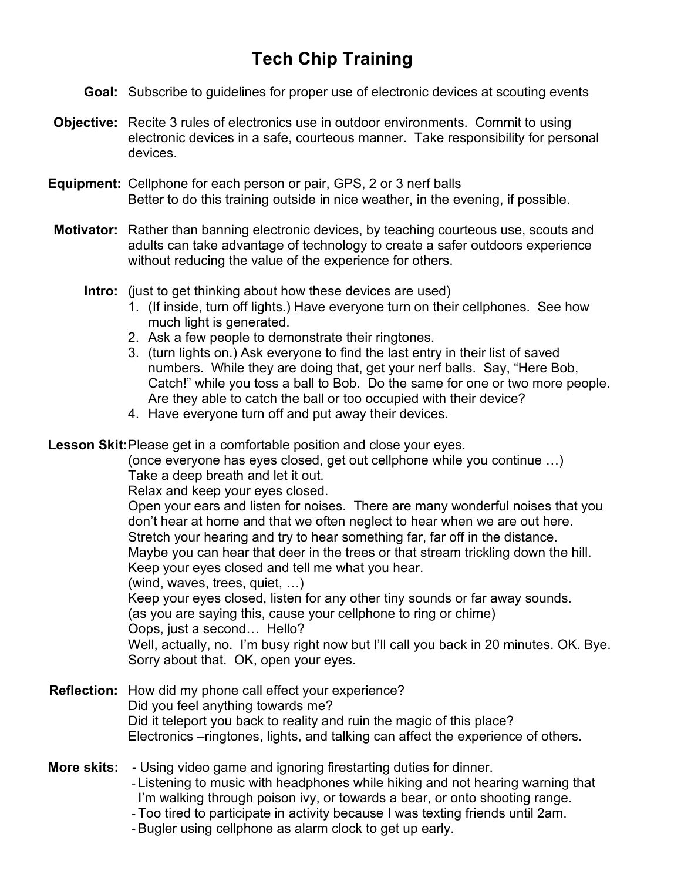## **Tech Chip Training**

- **Goal:** Subscribe to guidelines for proper use of electronic devices at scouting events
- **Objective:** Recite 3 rules of electronics use in outdoor environments. Commit to using electronic devices in a safe, courteous manner. Take responsibility for personal devices.
- **Equipment:** Cellphone for each person or pair, GPS, 2 or 3 nerf balls Better to do this training outside in nice weather, in the evening, if possible.
- **Motivator:** Rather than banning electronic devices, by teaching courteous use, scouts and adults can take advantage of technology to create a safer outdoors experience without reducing the value of the experience for others.
	- **Intro:** (just to get thinking about how these devices are used)
		- 1. (If inside, turn off lights.) Have everyone turn on their cellphones. See how much light is generated.
		- 2. Ask a few people to demonstrate their ringtones.
		- 3. (turn lights on.) Ask everyone to find the last entry in their list of saved numbers. While they are doing that, get your nerf balls. Say, "Here Bob, Catch!" while you toss a ball to Bob. Do the same for one or two more people. Are they able to catch the ball or too occupied with their device?
		- 4. Have everyone turn off and put away their devices.

**Lesson Skit:** Please get in a comfortable position and close your eyes.

(once everyone has eyes closed, get out cellphone while you continue …) Take a deep breath and let it out.

Relax and keep your eyes closed.

Open your ears and listen for noises. There are many wonderful noises that you don't hear at home and that we often neglect to hear when we are out here. Stretch your hearing and try to hear something far, far off in the distance.

Maybe you can hear that deer in the trees or that stream trickling down the hill.

Keep your eyes closed and tell me what you hear.

(wind, waves, trees, quiet, …)

Keep your eyes closed, listen for any other tiny sounds or far away sounds.

(as you are saying this, cause your cellphone to ring or chime)

Oops, just a second… Hello?

Well, actually, no. I'm busy right now but I'll call you back in 20 minutes. OK. Bye. Sorry about that. OK, open your eyes.

- **Reflection:** How did my phone call effect your experience? Did you feel anything towards me? Did it teleport you back to reality and ruin the magic of this place? Electronics –ringtones, lights, and talking can affect the experience of others.
- **More skits:** Using video game and ignoring firestarting duties for dinner.
	- Listening to music with headphones while hiking and not hearing warning that I'm walking through poison ivy, or towards a bear, or onto shooting range.
	- Too tired to participate in activity because I was texting friends until 2am.
	- Bugler using cellphone as alarm clock to get up early.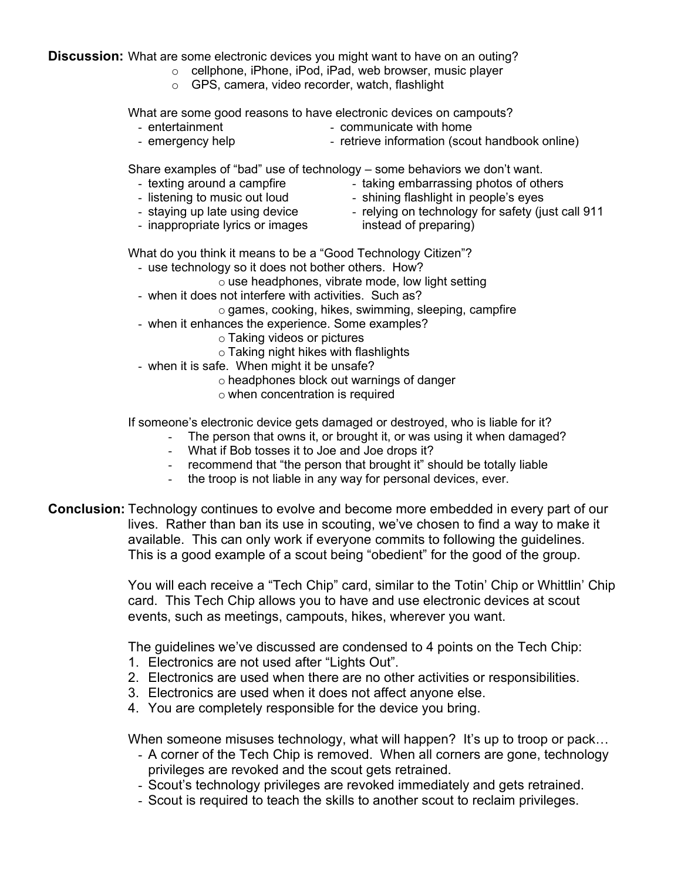**Discussion:** What are some electronic devices you might want to have on an outing?

- o cellphone, iPhone, iPod, iPad, web browser, music player
- o GPS, camera, video recorder, watch, flashlight

What are some good reasons to have electronic devices on campouts?

- communicate with home
- emergency help - retrieve information (scout handbook online)

Share examples of "bad" use of technology – some behaviors we don't want.

- texting around a campfire

- entertainment

- taking embarrassing photos of others - shining flashlight in people's eyes
- listening to music out loud - staying up late using device
- relying on technology for safety (just call 911
- inappropriate lyrics or images
- instead of preparing)

What do you think it means to be a "Good Technology Citizen"?

- use technology so it does not bother others. How?
	- $\circ$  use headphones, vibrate mode, low light setting
- when it does not interfere with activities. Such as?
- o games, cooking, hikes, swimming, sleeping, campfire
- when it enhances the experience. Some examples?
	- o Taking videos or pictures
	- o Taking night hikes with flashlights
- when it is safe. When might it be unsafe?
	- o headphones block out warnings of danger
	- o when concentration is required

If someone's electronic device gets damaged or destroyed, who is liable for it?

- The person that owns it, or brought it, or was using it when damaged?
- What if Bob tosses it to Joe and Joe drops it?
- recommend that "the person that brought it" should be totally liable
- the troop is not liable in any way for personal devices, ever.

**Conclusion:** Technology continues to evolve and become more embedded in every part of our lives. Rather than ban its use in scouting, we've chosen to find a way to make it available. This can only work if everyone commits to following the guidelines. This is a good example of a scout being "obedient" for the good of the group.

> You will each receive a "Tech Chip" card, similar to the Totin' Chip or Whittlin' Chip card. This Tech Chip allows you to have and use electronic devices at scout events, such as meetings, campouts, hikes, wherever you want.

The guidelines we've discussed are condensed to 4 points on the Tech Chip:

- 1. Electronics are not used after "Lights Out".
- 2. Electronics are used when there are no other activities or responsibilities.
- 3. Electronics are used when it does not affect anyone else.
- 4. You are completely responsible for the device you bring.

When someone misuses technology, what will happen? It's up to troop or pack...

- A corner of the Tech Chip is removed. When all corners are gone, technology privileges are revoked and the scout gets retrained.
- Scout's technology privileges are revoked immediately and gets retrained.
- Scout is required to teach the skills to another scout to reclaim privileges.